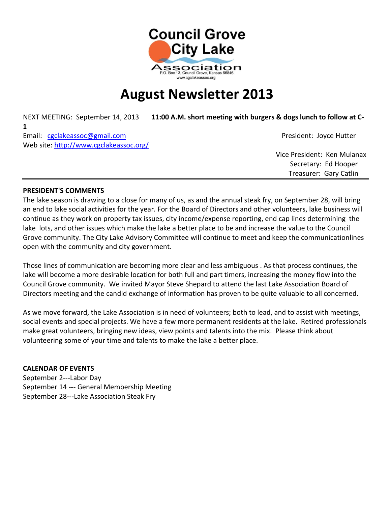

# **August Newsletter 2013**

NEXT MEETING: September 14, 2013 **11:00 A.M. short meeting with burgers & dogs lunch to follow at C-**

**1** Email: [cgclakeassoc@gmail.com](mailto:cgclakeassoc@gmail.com) President: Joyce Hutter Web site:<http://www.cgclakeassoc.org/>

 Vice President: Ken Mulanax Secretary: Ed Hooper Treasurer: Gary Catlin

## **PRESIDENT'S COMMENTS**

The lake season is drawing to a close for many of us, as and the annual steak fry, on September 28, will bring an end to lake social activities for the year. For the Board of Directors and other volunteers, lake business will continue as they work on property tax issues, city income/expense reporting, end cap lines determining the lake lots, and other issues which make the lake a better place to be and increase the value to the Council Grove community. The City Lake Advisory Committee will continue to meet and keep the communicationlines open with the community and city government.

Those lines of communication are becoming more clear and less ambiguous . As that process continues, the lake will become a more desirable location for both full and part timers, increasing the money flow into the Council Grove community. We invited Mayor Steve Shepard to attend the last Lake Association Board of Directors meeting and the candid exchange of information has proven to be quite valuable to all concerned.

As we move forward, the Lake Association is in need of volunteers; both to lead, and to assist with meetings, social events and special projects. We have a few more permanent residents at the lake. Retired professionals make great volunteers, bringing new ideas, view points and talents into the mix. Please think about volunteering some of your time and talents to make the lake a better place.

## **CALENDAR OF EVENTS**

September 2---Labor Day September 14 --- General Membership Meeting September 28---Lake Association Steak Fry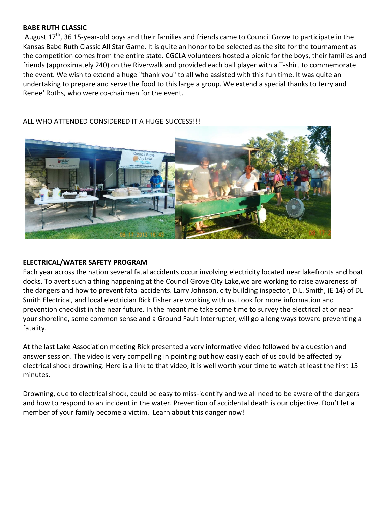## **BABE RUTH CLASSIC**

August  $17<sup>th</sup>$ , 36 15-year-old boys and their families and friends came to Council Grove to participate in the Kansas Babe Ruth Classic All Star Game. It is quite an honor to be selected as the site for the tournament as the competition comes from the entire state. CGCLA volunteers hosted a picnic for the boys, their families and friends (approximately 240) on the Riverwalk and provided each ball player with a T-shirt to commemorate the event. We wish to extend a huge "thank you" to all who assisted with this fun time. It was quite an undertaking to prepare and serve the food to this large a group. We extend a special thanks to Jerry and Renee' Roths, who were co-chairmen for the event.



ALL WHO ATTENDED CONSIDERED IT A HUGE SUCCESS!!!

### **ELECTRICAL/WATER SAFETY PROGRAM**

Each year across the nation several fatal accidents occur involving electricity located near lakefronts and boat docks. To avert such a thing happening at the Council Grove City Lake,we are working to raise awareness of the dangers and how to prevent fatal accidents. Larry Johnson, city building inspector, D.L. Smith, (E 14) of DL Smith Electrical, and local electrician Rick Fisher are working with us. Look for more information and prevention checklist in the near future. In the meantime take some time to survey the electrical at or near your shoreline, some common sense and a Ground Fault Interrupter, will go a long ways toward preventing a fatality.

At the last Lake Association meeting Rick presented a very informative video followed by a question and answer session. The video is very compelling in pointing out how easily each of us could be affected by electrical shock drowning. Here is a link to that video, it is well worth your time to watch at least the first 15 minutes.

Drowning, due to electrical shock, could be easy to miss-identify and we all need to be aware of the dangers and how to respond to an incident in the water. Prevention of accidental death is our objective. Don't let a member of your family become a victim. Learn about this danger now!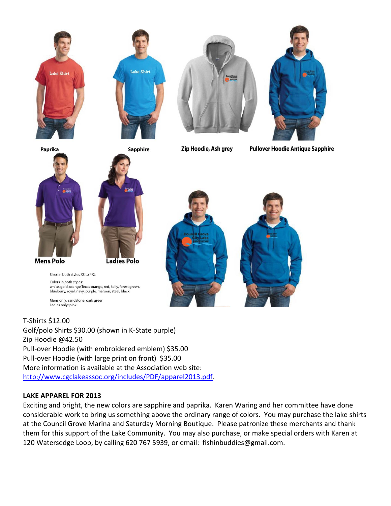







**Sapphire** 

Zip Hoodie, Ash grey

**Pullover Hoodie Antique Sapphire** 







Sizes in both styles XS to 4XL Colors in both styles: white, gold, orange, Texas orange, red, kelly, forest green, blueberry, royal, navy, purple, maroon, steel, black

Mens only: sandstone, dark green Ladies only: pink

T-Shirts \$12.00 Golf/polo Shirts \$30.00 (shown in K-State purple) Zip Hoodie @42.50 Pull-over Hoodie (with embroidered emblem) \$35.00 Pull-over Hoodie (with large print on front) \$35.00 More information is available at the Association web site: [http://www.cgclakeassoc.org/includes/PDF/apparel2013.pdf.](http://www.cgclakeassoc.org/includes/PDF/apparel2013.pdf)

# **LAKE APPAREL FOR 2013**

Exciting and bright, the new colors are sapphire and paprika. Karen Waring and her committee have done considerable work to bring us something above the ordinary range of colors. You may purchase the lake shirts at the Council Grove Marina and Saturday Morning Boutique. Please patronize these merchants and thank them for this support of the Lake Community. You may also purchase, or make special orders with Karen at 120 Watersedge Loop, by calling 620 767 5939, or email: fishinbuddies@gmail.com.